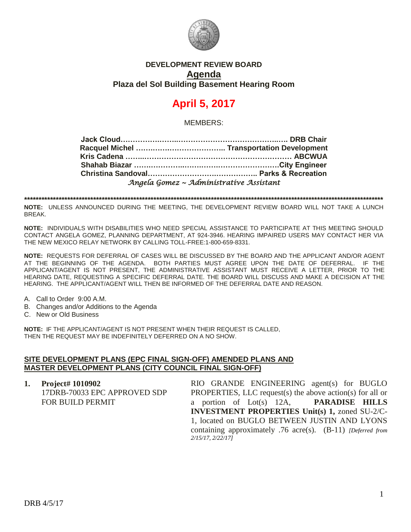

## **DEVELOPMENT REVIEW BOARD Agenda Plaza del Sol Building Basement Hearing Room**

# **April 5, 2017**

MEMBERS:

| Angela Gomez ~ Administrative Assistant |  |
|-----------------------------------------|--|

**\*\*\*\*\*\*\*\*\*\*\*\*\*\*\*\*\*\*\*\*\*\*\*\*\*\*\*\*\*\*\*\*\*\*\*\*\*\*\*\*\*\*\*\*\*\*\*\*\*\*\*\*\*\*\*\*\*\*\*\*\*\*\*\*\*\*\*\*\*\*\*\*\*\*\*\*\*\*\*\*\*\*\*\*\*\*\*\*\*\*\*\*\*\*\*\*\*\*\*\*\*\*\*\*\*\*\*\*\*\*\*\*\*\*\*\*\*\*\*\*\*\*\*\*\***

**NOTE:** UNLESS ANNOUNCED DURING THE MEETING, THE DEVELOPMENT REVIEW BOARD WILL NOT TAKE A LUNCH BREAK.

**NOTE:** INDIVIDUALS WITH DISABILITIES WHO NEED SPECIAL ASSISTANCE TO PARTICIPATE AT THIS MEETING SHOULD CONTACT ANGELA GOMEZ, PLANNING DEPARTMENT, AT 924-3946. HEARING IMPAIRED USERS MAY CONTACT HER VIA THE NEW MEXICO RELAY NETWORK BY CALLING TOLL-FREE:1-800-659-8331.

**NOTE:** REQUESTS FOR DEFERRAL OF CASES WILL BE DISCUSSED BY THE BOARD AND THE APPLICANT AND/OR AGENT AT THE BEGINNING OF THE AGENDA. BOTH PARTIES MUST AGREE UPON THE DATE OF DEFERRAL. IF THE APPLICANT/AGENT IS NOT PRESENT, THE ADMINISTRATIVE ASSISTANT MUST RECEIVE A LETTER, PRIOR TO THE HEARING DATE, REQUESTING A SPECIFIC DEFERRAL DATE. THE BOARD WILL DISCUSS AND MAKE A DECISION AT THE HEARING. THE APPLICANT/AGENT WILL THEN BE INFORMED OF THE DEFERRAL DATE AND REASON.

- A. Call to Order 9:00 A.M.
- B. Changes and/or Additions to the Agenda
- C. New or Old Business

**NOTE:** IF THE APPLICANT/AGENT IS NOT PRESENT WHEN THEIR REQUEST IS CALLED, THEN THE REQUEST MAY BE INDEFINITELY DEFERRED ON A NO SHOW.

#### **SITE DEVELOPMENT PLANS (EPC FINAL SIGN-OFF) AMENDED PLANS AND MASTER DEVELOPMENT PLANS (CITY COUNCIL FINAL SIGN-OFF)**

**1. Project# 1010902** 17DRB-70033 EPC APPROVED SDP FOR BUILD PERMIT RIO GRANDE ENGINEERING agent(s) for BUGLO PROPERTIES, LLC request(s) the above action(s) for all or a portion of Lot(s) 12A, **PARADISE HILLS INVESTMENT PROPERTIES Unit(s) 1,** zoned SU-2/C-1, located on BUGLO BETWEEN JUSTIN AND LYONS containing approximately .76 acre(s). (B-11) *[Deferred from 2/15/17, 2/22/17]*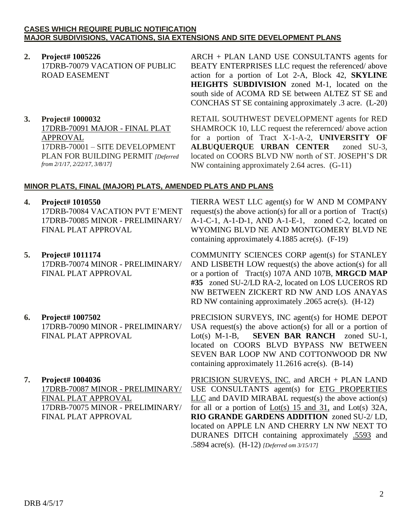#### **CASES WHICH REQUIRE PUBLIC NOTIFICATION MAJOR SUBDIVISIONS, VACATIONS, SIA EXTENSIONS AND SITE DEVELOPMENT PLANS**

- **2. Project# 1005226** 17DRB-70079 VACATION OF PUBLIC ROAD EASEMENT
- **3. Project# 1000032** 17DRB-70091 MAJOR - FINAL PLAT APPROVAL 17DRB-70001 – SITE DEVELOPMENT PLAN FOR BUILDING PERMIT *[Deferred from 2/1/17, 2/22/17, 3/8/17]*

ARCH + PLAN LAND USE CONSULTANTS agents for BEATY ENTERPRISES LLC request the referenced/ above action for a portion of Lot 2-A, Block 42, **SKYLINE HEIGHTS SUBDIVISION** zoned M-1, located on the south side of ACOMA RD SE between ALTEZ ST SE and CONCHAS ST SE containing approximately .3 acre. (L-20)

RETAIL SOUTHWEST DEVELOPMENT agents for RED SHAMROCK 10, LLC request the referernced/ above action for a portion of Tract X-1-A-2, **UNIVERSITY OF ALBUQUERQUE URBAN CENTER** zoned SU-3, located on COORS BLVD NW north of ST. JOSEPH'S DR NW containing approximately 2.64 acres. (G-11)

### **MINOR PLATS, FINAL (MAJOR) PLATS, AMENDED PLATS AND PLANS**

**4. Project# 1010550**

17DRB-70084 VACATION PVT E'MENT 17DRB-70085 MINOR - PRELIMINARY/ FINAL PLAT APPROVAL

- **5. Project# 1011174** 17DRB-70074 MINOR - PRELIMINARY/ FINAL PLAT APPROVAL
- **6. Project# 1007502** 17DRB-70090 MINOR - PRELIMINARY/ FINAL PLAT APPROVAL
- **7. Project# 1004036**

17DRB-70087 MINOR - PRELIMINARY/ FINAL PLAT APPROVAL 17DRB-70075 MINOR - PRELIMINARY/ FINAL PLAT APPROVAL

TIERRA WEST LLC agent(s) for W AND M COMPANY request(s) the above action(s) for all or a portion of  $Tract(s)$ A-1-C-1, A-1-D-1, AND A-1-E-1, zoned C-2, located on WYOMING BLVD NE AND MONTGOMERY BLVD NE containing approximately 4.1885 acre(s). (F-19)

COMMUNITY SCIENCES CORP agent(s) for STANLEY AND LISBETH LOW request(s) the above action(s) for all or a portion of Tract(s) 107A AND 107B, **MRGCD MAP #35** zoned SU-2/LD RA-2, located on LOS LUCEROS RD NW BETWEEN ZICKERT RD NW AND LOS ANAYAS RD NW containing approximately .2065 acre(s). (H-12)

PRECISION SURVEYS, INC agent(s) for HOME DEPOT USA request(s) the above action(s) for all or a portion of Lot(s) M-1-B, **SEVEN BAR RANCH** zoned SU-1, located on COORS BLVD BYPASS NW BETWEEN SEVEN BAR LOOP NW AND COTTONWOOD DR NW containing approximately 11.2616 acre(s). (B-14)

PRICISION SURVEYS, INC. and ARCH + PLAN LAND USE CONSULTANTS agent(s) for ETG PROPERTIES LLC and DAVID MIRABAL request(s) the above action(s) for all or a portion of Lot(s) 15 and 31, and Lot(s) 32A, **RIO GRANDE GARDENS ADDITION** zoned SU-2/ LD, located on APPLE LN AND CHERRY LN NW NEXT TO DURANES DITCH containing approximately .5593 and .5894 acre(s). (H-12) *[Deferred om 3/15/17]*